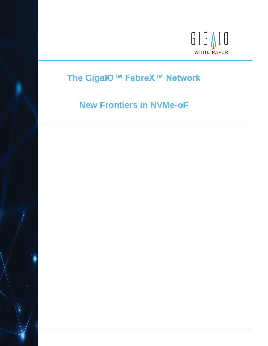

# **The GigaIO™ FabreX™ Network**

# **New Frontiers in NVMe-oF**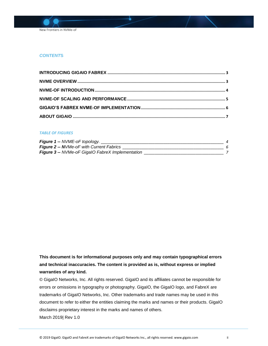

### *CONTENT***S**

#### *TABLE OF FIGURES*

| <b>Figure 1 -- NVME-oF topology.</b>                    |  |
|---------------------------------------------------------|--|
| <b>Figure 2 -- NVMe-oF with Current Fabrics</b>         |  |
| <b>Figure 3 -- NVMe-oF GigalO FabreX Implementation</b> |  |

## **This document is for informational purposes only and may contain typographical errors and technical inaccuracies. The content is provided as is, without express or implied warranties of any kind.**

© GigaIO Networks, Inc. All rights reserved. GigaIO and its affiliates cannot be responsible for errors or omissions in typography or photography. GigaIO, the GigaIO logo, and FabreX are trademarks of GigaIO Networks, Inc. Other trademarks and trade names may be used in this document to refer to either the entities claiming the marks and names or their products. GigaIO disclaims proprietary interest in the marks and names of others. March 2019| Rev 1.0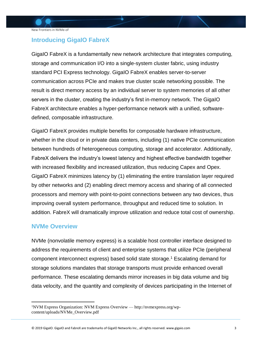## <span id="page-2-0"></span>**Introducing GigaIO FabreX**

GigaIO FabreX is a fundamentally new network architecture that integrates computing, storage and communication I/O into a single-system cluster fabric, using industry standard PCI Express technology. GigaIO FabreX enables server-to-server communication across PCIe and makes true cluster scale networking possible. The result is direct memory access by an individual server to system memories of all other servers in the cluster, creating the industry's first in-memory network. The GigaIO FabreX architecture enables a hyper-performance network with a unified, softwaredefined, composable infrastructure.

GigaIO FabreX provides multiple benefits for composable hardware infrastructure, whether in the cloud or in private data centers, including (1) native PCIe communication between hundreds of heterogeneous computing, storage and accelerator. Additionally, FabreX delivers the industry's lowest latency and highest effective bandwidth together with increased flexibility and increased utilization, thus reducing Capex and Opex. GigaIO FabreX minimizes latency by (1) eliminating the entire translation layer required by other networks and (2) enabling direct memory access and sharing of all connected processors and memory with point-to-point connections between any two devices, thus improving overall system performance, throughput and reduced time to solution. In addition. FabreX will dramatically improve utilization and reduce total cost of ownership.

### <span id="page-2-1"></span>**NVMe Overview**

 $\overline{a}$ 

NVMe (nonvolatile memory express) is a scalable host controller interface designed to address the requirements of client and enterprise systems that utilize PCIe (peripheral component interconnect express) based solid state storage. <sup>1</sup> Escalating demand for storage solutions mandates that storage transports must provide enhanced overall performance. These escalating demands mirror increases in big data volume and big data velocity, and the quantity and complexity of devices participating in the Internet of

<sup>1</sup>NVM Express Organization: NVM Express Overview — http://nvmexpress.org/wpcontent/uploads/NVMe\_Overview.pdf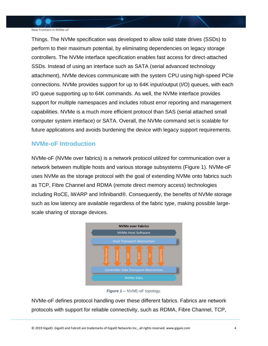New Frontiers in NVMe-oF

Things. The NVMe specification was developed to allow solid state drives (SSDs) to perform to their maximum potential, by eliminating dependencies on legacy storage controllers. The NVMe interface specification enables fast access for direct-attached SSDs. Instead of using an interface such as SATA (serial advanced technology attachment), NVMe devices communicate with the system CPU using high-speed PCIe connections. NVMe provides support for up to 64K input/output (I/O) queues, with each I/O queue supporting up to 64K commands. As well, the NVMe interface provides support for multiple namespaces and includes robust error reporting and management capabilities. NVMe is a much more efficient protocol than SAS (serial attached small computer system interface) or SATA. Overall, the NVMe command set is scalable for future applications and avoids burdening the device with legacy support requirements.

## <span id="page-3-0"></span>**NVMe-oF Introduction**

NVMe-oF (NVMe over fabrics) is a network protocol utilized for communication over a network between multiple hosts and various storage subsystems (Figure 1). NVMe-oF uses NVMe as the storage protocol with the goal of extending NVMe onto fabrics such as TCP, Fibre Channel and RDMA (remote direct memory access) technologies including RoCE, iWARP and Infiniband®. Consequently, the benefits of NVMe storage such as low latency are available regardless of the fabric type, making possible largescale sharing of storage devices.



*Figure 1* **--** NVME-oF topology.

<span id="page-3-1"></span>NVMe-oF defines protocol handling over these different fabrics. Fabrics are network protocols with support for reliable connectivity, such as RDMA, Fibre Channel, TCP,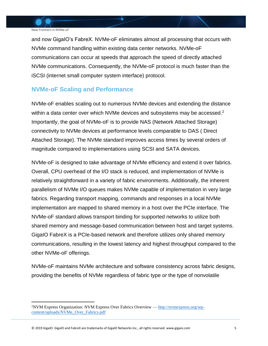$\overline{a}$ 

and now GigaIO's FabreX. NVMe-oF eliminates almost all processing that occurs with NVMe command handling within existing data center networks. NVMe-oF communications can occur at speeds that approach the speed of directly attached NVMe communications. Consequently, the NVMe-oF protocol is much faster than the iSCSI (internet small computer system interface) protocol.

## <span id="page-4-0"></span>**NVMe-oF Scaling and Performance**

NVMe-oF enables scaling out to numerous NVMe devices and extending the distance within a data center over which NVMe devices and subsystems may be accessed.<sup>2</sup> Importantly, the goal of NVMe-oF is to provide NAS (Network Attached Storage) connectivity to NVMe devices at performance levels comparable to DAS ( Direct Attached Storage). The NVMe standard improves access times by several orders of magnitude compared to implementations using SCSI and SATA devices.

NVMe-oF is designed to take advantage of NVMe efficiency and extend it over fabrics. Overall, CPU overhead of the I/O stack is reduced, and implementation of NVMe is relatively straightforward in a variety of fabric environments. Additionally, the inherent parallelism of NVMe I/O queues makes NVMe capable of implementation in very large fabrics. Regarding transport mapping, commands and responses in a local NVMe implementation are mapped to shared memory in a host over the PCIe interface. The NVMe-oF standard allows transport binding for supported networks to utilize both shared memory and message-based communication between host and target systems. GigaIO FabreX is a PCIe-based network and therefore utilizes only shared memory communications, resulting in the lowest latency and highest throughput compared to the other NVMe-oF offerings.

NVMe-oF maintains NVMe architecture and software consistency across fabric designs, providing the benefits of NVMe regardless of fabric type or the type of nonvolatile

© 2019 GigaIO. GigaIO and FabreX are trademarks of GigaIO Networks Inc., all rights reserved. www.gigaio.com 5

<sup>&</sup>lt;sup>2</sup>NVM Express Organization: NVM Express Over Fabrics Overview — [http://nvmexpress.org/wp](http://nvmexpress.org/wp-content/uploads/NVMe_Over_Fabrics.pdf)[content/uploads/NVMe\\_Over\\_Fabrics.pdf](http://nvmexpress.org/wp-content/uploads/NVMe_Over_Fabrics.pdf)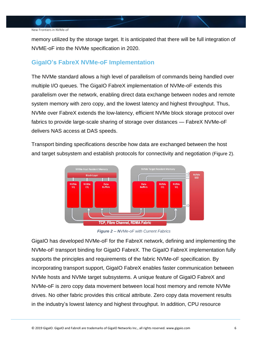

memory utilized by the storage target. It is anticipated that there will be full integration of NVME-oF into the NVMe specification in 2020.

## <span id="page-5-0"></span>**GigaIO's FabreX NVMe-oF Implementation**

The NVMe standard allows a high level of parallelism of commands being handled over multiple I/O queues. The GigaIO FabreX implementation of NVMe-oF extends this parallelism over the network, enabling direct data exchange between nodes and remote system memory with zero copy, and the lowest latency and highest throughput. Thus, NVMe over FabreX extends the low-latency, efficient NVMe block storage protocol over fabrics to provide large-scale sharing of storage over distances — FabreX NVMe-oF delivers NAS access at DAS speeds.

Transport binding specifications describe how data are exchanged between the host and target subsystem and establish protocols for connectivity and negotiation (Figure 2).



*Figure 2 -- NVMe-oF with Current Fabrics*

<span id="page-5-1"></span>GigaIO has developed NVMe-oF for the FabreX network, defining and implementing the NVMe-oF transport binding for GigaIO FabreX. The GigaIO FabreX implementation fully supports the principles and requirements of the fabric NVMe-oF specification. By incorporating transport support, GigaIO FabreX enables faster communication between NVMe hosts and NVMe target subsystems. A unique feature of GigaIO FabreX and NVMe-oF is zero copy data movement between local host memory and remote NVMe drives. No other fabric provides this critical attribute. Zero copy data movement results in the industry's lowest latency and highest throughput. In addition, CPU resource